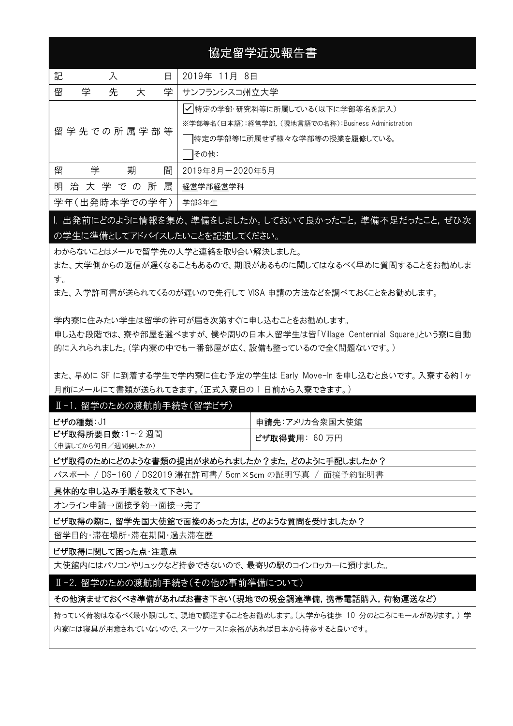# 協定留学近況報告書

| 記<br>入<br>日           | 2019年 11月 8日                                        |
|-----------------------|-----------------------------------------------------|
| 学<br>留<br>学<br>先<br>大 | サンフランシスコ州立大学                                        |
|                       | √特定の学部·研究科等に所属している(以下に学部等名を記入)                      |
| 留学先での所属学部等            | ※学部等名(日本語):経営学部. (現地言語での名称):Business Administration |
|                       | 特定の学部等に所属せず様々な学部等の授業を履修している。                        |
|                       | その他:                                                |
| 留<br>期<br>学<br>間      | 2019年8月-2020年5月                                     |
| 属<br>明治大学での所          | 経営学部経営学科                                            |
| 学年(出発時本学での学年)         | 学部3年生                                               |

1. 出発前にどのように情報を集め、準備をしましたか。しておいて良かったこと, 準備不足だったこと, ぜひ次 の学生に準備としてアドバイスしたいことを記述してください。

わからないことはメールで留学先の大学と連絡を取り合い解決しました。

また、大学側からの返信が遅くなることもあるので、期限があるものに関してはなるべく早めに質問することをお勧めしま す。

また、入学許可書が送られてくるのが遅いので先行して VISA 申請の方法などを調べておくことをお勧めします。

学内寮に住みたい学生は留学の許可が届き次第すぐに申し込むことをお勧めします。

申し込む段階では、寮や部屋を選べますが、僕や周りの日本人留学生は皆「Village Centennial Square」という寮に自動 的に入れられました。(学内寮の中でも一番部屋が広く、設備も整っているので全く問題ないです。)

また、早めに SF に到着する学生で学内寮に住む予定の学生は Early Move-In を申し込むと良いです。入寮する約1ヶ 月前にメールにて書類が送られてきます。(正式入寮日の 1 日前から入寮できます。)

#### Ⅱ-1. 留学のための渡航前手続き(留学ビザ)

| ビザの種類:J1          | 申請先:アメリカ合衆国大使館        |
|-------------------|-----------------------|
| ビザ取得所要日数:1~2 週間   | <b>ビザ取得費用</b> : 60 万円 |
| (申請してから何日/週間要したか) |                       |

#### ビザ取得のためにどのような書類の提出が求められましたか?また,どのように手配しましたか?

パスポート / DS-160 / DS2019 滞在許可書/ 5cm×5cm の証明写真 / 面接予約証明書

#### 具体的な申し込み手順を教えて下さい。

オンライン申請→面接予約→面接→完了

## ビザ取得の際に,留学先国大使館で面接のあった方は,どのような質問を受けましたか?

留学目的・滞在場所・滞在期間・過去滞在歴

#### ビザ取得に関して困った点・注意点

 $\overline{\phantom{a}}$ 

大使館内にはパソコンやリュックなど持参できないので、最寄りの駅のコインロッカーに預けました。

#### Ⅱ-2. 留学のための渡航前手続き(その他の事前準備について)

#### その他済ませておくべき準備があればお書き下さい(現地での現金調達準備,携帯電話購入,荷物運送など)

持っていく荷物はなるべく最小限にして、現地で調達することをお勧めします。(大学から徒歩 10 分のところにモールがあります。) 学 内寮には寝具が用意されていないので、スーツケースに余裕があれば日本から持参すると良いです。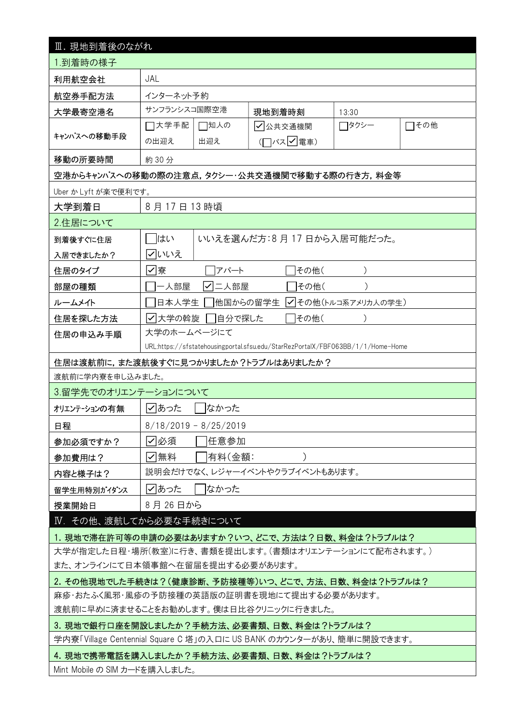| Ⅲ. 現地到着後のながれ                                                                                                      |                                            |          |                                 |                     |      |  |  |  |
|-------------------------------------------------------------------------------------------------------------------|--------------------------------------------|----------|---------------------------------|---------------------|------|--|--|--|
| 1.到着時の様子                                                                                                          |                                            |          |                                 |                     |      |  |  |  |
| JAL<br>利用航空会社                                                                                                     |                                            |          |                                 |                     |      |  |  |  |
| 航空券手配方法                                                                                                           | インターネット予約                                  |          |                                 |                     |      |  |  |  |
| 大学最寄空港名                                                                                                           | サンフランシスコ国際空港                               |          | 現地到着時刻                          | 13:30               |      |  |  |  |
|                                                                                                                   | □大学手配                                      | □知人の     | √公共交通機関                         | □タクシー               | □その他 |  |  |  |
| キャンパスへの移動手段                                                                                                       | の出迎え                                       | 出迎え      | (ロバスワ電車)                        |                     |      |  |  |  |
| 移動の所要時間                                                                                                           | 約30分                                       |          |                                 |                     |      |  |  |  |
| 空港からキャンパスへの移動の際の注意点,タクシー・公共交通機関で移動する際の行き方,料金等                                                                     |                                            |          |                                 |                     |      |  |  |  |
| Uber か Lyft が楽で便利です。                                                                                              |                                            |          |                                 |                     |      |  |  |  |
| 大学到着日                                                                                                             | 8月17日13時頃                                  |          |                                 |                     |      |  |  |  |
| 2.住居について                                                                                                          |                                            |          |                                 |                     |      |  |  |  |
| 到着後すぐに住居                                                                                                          | はい                                         |          | いいえを選んだ方:8月17日から入居可能だった。        |                     |      |  |  |  |
| 入居できましたか?                                                                                                         | ▽いいえ                                       |          |                                 |                     |      |  |  |  |
| 住居のタイプ                                                                                                            | ☑寮                                         | アパート     | その他(                            |                     |      |  |  |  |
| 部屋の種類                                                                                                             | 一人部屋                                       | √ 二人部屋   | その他(                            |                     |      |  |  |  |
| ルームメイト                                                                                                            | 日本人学生                                      | 他国からの留学生 |                                 | √ その他(トルコ系アメリカ人の学生) |      |  |  |  |
| 住居を探した方法                                                                                                          | ┃✓┃大学の斡旋                                   | □自分で探した  | その他(                            |                     |      |  |  |  |
| 住居の申込み手順                                                                                                          | 大学のホームページにて                                |          |                                 |                     |      |  |  |  |
| URL:https://sfstatehousingportal.sfsu.edu/StarRezPortalX/FBF063BB/1/1/Home-Home                                   |                                            |          |                                 |                     |      |  |  |  |
| 住居は渡航前に,また渡航後すぐに見つかりましたか?トラブルはありましたか?                                                                             |                                            |          |                                 |                     |      |  |  |  |
| 渡航前に学内寮を申し込みました。                                                                                                  |                                            |          |                                 |                     |      |  |  |  |
| 3.留学先でのオリエンテーションについて                                                                                              |                                            |          |                                 |                     |      |  |  |  |
| ✓ あった<br>なかった<br>オリエンテーションの有無                                                                                     |                                            |          |                                 |                     |      |  |  |  |
| 日程                                                                                                                | $8/18/2019 - 8/25/2019$                    |          |                                 |                     |      |  |  |  |
| 参加必須ですか?                                                                                                          | √ 必須 <br> 任意参加                             |          |                                 |                     |      |  |  |  |
| 参加費用は?                                                                                                            | ☑無料<br> 有料(金額:                             |          |                                 |                     |      |  |  |  |
| 内容と様子は?                                                                                                           |                                            |          | 説明会だけでなく、レジャーイベントやクラブイベントもあります。 |                     |      |  |  |  |
| 留学生用特別ガイダンス                                                                                                       | ☑あった<br>なかった                               |          |                                 |                     |      |  |  |  |
| 8月26日から<br>授業開始日                                                                                                  |                                            |          |                                 |                     |      |  |  |  |
| IV. その他、渡航してから必要な手続きについて                                                                                          |                                            |          |                                 |                     |      |  |  |  |
| 1. 現地で滞在許可等の申請の必要はありますか?いつ、どこで、方法は?日数、料金は?トラブルは?                                                                  |                                            |          |                                 |                     |      |  |  |  |
| 大学が指定した日程・場所(教室)に行き、書類を提出します。(書類はオリエンテーションにて配布されます。)                                                              |                                            |          |                                 |                     |      |  |  |  |
| また、オンラインにて日本領事館へ在留届を提出する必要があります。                                                                                  |                                            |          |                                 |                     |      |  |  |  |
| 2. その他現地でした手続きは?(健康診断、予防接種等)いつ、どこで、方法、日数、料金は?トラブルは?                                                               |                                            |          |                                 |                     |      |  |  |  |
|                                                                                                                   | 麻疹・おたふく風邪・風疹の予防接種の英語版の証明書を現地にて提出する必要があります。 |          |                                 |                     |      |  |  |  |
|                                                                                                                   |                                            |          |                                 |                     |      |  |  |  |
| 渡航前に早めに済ませることをお勧めします。僕は日比谷クリニックに行きました。                                                                            |                                            |          |                                 |                     |      |  |  |  |
| 3. 現地で銀行口座を開設しましたか?手続方法、必要書類、日数、料金は?トラブルは?                                                                        |                                            |          |                                 |                     |      |  |  |  |
| 学内寮「Village Centennial Square C 塔」の入口に US BANK のカウンターがあり、簡単に開設できます。<br>4. 現地で携帯電話を購入しましたか?手続方法、必要書類、日数、料金は?トラブルは? |                                            |          |                                 |                     |      |  |  |  |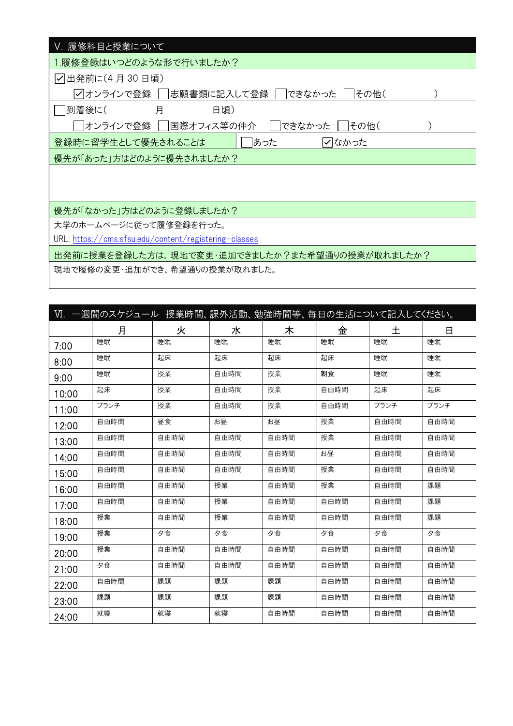| Ⅴ. 履修科目と授業について                                        |  |
|-------------------------------------------------------|--|
| 1.履修登録はいつどのような形で行いましたか?                               |  |
| 刁出発前に(4 月 30 日頃)                                      |  |
| √ オンラインで登録 │  志願書類に記入して登録<br>できなかった<br> その他(          |  |
| 月<br> 到着後に(<br>日頃)                                    |  |
| オンラインで登録  <br> 国際オフィス等の仲介<br>できなかった<br> その他(          |  |
| あった<br>登録時に留学生として優先されることは<br> ✓ なかった                  |  |
| 優先が「あった」方はどのように優先されましたか?                              |  |
|                                                       |  |
|                                                       |  |
| 優先が「なかった」方はどのように登録しましたか?                              |  |
| 大学のホームページに従って履修登録を行った。                                |  |
| URL: https://cms.sfsu.edu/content/registering-classes |  |
| 出発前に授業を登録した方は,現地で変更・追加できましたか?また希望通りの授業が取れましたか?        |  |
| 現地で履修の変更・追加ができ、希望通りの授業が取れました。                         |  |

| Ⅵ.一週間のスケジュール 授業時間、課外活動、勉強時間等、毎日の生活について記入してください。 |      |      |      |      |      |      |      |
|-------------------------------------------------|------|------|------|------|------|------|------|
|                                                 | 月    | 火    | 水    | 木    | 金    | 土    | 日    |
| 7:00                                            | 睡眠   | 睡眠   | 睡眠   | 睡眠   | 睡眠   | 睡眠   | 睡眠   |
| 8:00                                            | 睡眠   | 起床   | 起床   | 起床   | 起床   | 睡眠   | 睡眠   |
| 9:00                                            | 睡眠   | 授業   | 自由時間 | 授業   | 朝食   | 睡眠   | 睡眠   |
| 10:00                                           | 起床   | 授業   | 自由時間 | 授業   | 自由時間 | 起床   | 起床   |
| 11:00                                           | ブランチ | 授業   | 自由時間 | 授業   | 自由時間 | ブランチ | ブランチ |
| 12:00                                           | 自由時間 | 昼食   | お昼   | お昼   | 授業   | 自由時間 | 自由時間 |
| 13:00                                           | 自由時間 | 自由時間 | 自由時間 | 自由時間 | 授業   | 自由時間 | 自由時間 |
| 14:00                                           | 自由時間 | 自由時間 | 自由時間 | 自由時間 | お昼   | 自由時間 | 自由時間 |
| 15:00                                           | 自由時間 | 自由時間 | 自由時間 | 自由時間 | 授業   | 自由時間 | 自由時間 |
| 16:00                                           | 自由時間 | 自由時間 | 授業   | 自由時間 | 授業   | 自由時間 | 課題   |
| 17:00                                           | 自由時間 | 自由時間 | 授業   | 自由時間 | 自由時間 | 自由時間 | 課題   |
| 18:00                                           | 授業   | 自由時間 | 授業   | 自由時間 | 自由時間 | 自由時間 | 課題   |
| 19:00                                           | 授業   | 夕食   | 夕食   | 夕食   | 夕食   | 夕食   | 夕食   |
| 20:00                                           | 授業   | 自由時間 | 自由時間 | 自由時間 | 自由時間 | 自由時間 | 自由時間 |
| 21:00                                           | 夕食   | 自由時間 | 自由時間 | 自由時間 | 自由時間 | 自由時間 | 自由時間 |
| 22:00                                           | 自由時間 | 課題   | 課題   | 課題   | 自由時間 | 自由時間 | 自由時間 |
| 23:00                                           | 課題   | 課題   | 課題   | 課題   | 自由時間 | 自由時間 | 自由時間 |
| 24:00                                           | 就寝   | 就寝   | 就寝   | 自由時間 | 自由時間 | 自由時間 | 自由時間 |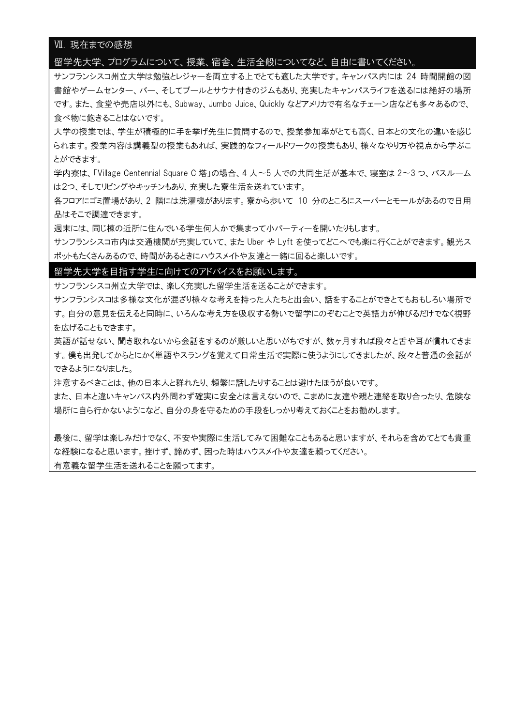## Ⅶ. 現在までの感想

#### 留学先大学、プログラムについて、授業、宿舎、生活全般についてなど、自由に書いてください。

サンフランシスコ州立大学は勉強とレジャーを両立する上でとても適した大学です。キャンパス内には 24 時間開館の図 書館やゲームセンター、バー、そしてプールとサウナ付きのジムもあり、充実したキャンパスライフを送るには絶好の場所 です。また、食堂や売店以外にも、Subway、Jumbo Juice、Quickly などアメリカで有名なチェーン店なども多々あるので、 食べ物に飽きることはないです。

大学の授業では、学生が積極的に手を挙げ先生に質問するので、授業参加率がとても高く、日本との文化の違いを感じ られます。授業内容は講義型の授業もあれば、実践的なフィールドワークの授業もあり、様々なやり方や視点から学ぶこ とができます。

学内寮は、「Village Centennial Square C 塔」の場合、4 人〜5 人での共同生活が基本で、寝室は 2〜3 つ、バスルーム は2つ、そしてリビングやキッチンもあり、充実した寮生活を送れています。

各フロアにゴミ置場があり、2 階には洗濯機があります。寮から歩いて 10 分のところにスーパーとモールがあるので日用 品はそこで調達できます。

週末には、同じ棟の近所に住んでいる学生何人かで集まって小パーティーを開いたりもします。

サンフランシスコ市内は交通機関が充実していて、また Uber や Lyft を使ってどこへでも楽に行くことができます。観光ス ポットもたくさんあるので、時間があるときにハウスメイトや友達と一緒に回ると楽しいです。

#### 留学先大学を目指す学生に向けてのアドバイスをお願いします。

サンフランシスコ州立大学では、楽しく充実した留学生活を送ることができます。

サンフランシスコは多様な文化が混ざり様々な考えを持った人たちと出会い、話をすることができとてもおもしろい場所で す。自分の意見を伝えると同時に、いろんな考え方を吸収する勢いで留学にのぞむことで英語力が伸びるだけでなく視野 を広げることもできます。

英語が話せない、聞き取れないから会話をするのが厳しいと思いがちですが、数ヶ月すれば段々と舌や耳が慣れてきま す。僕も出発してからとにかく単語やスラングを覚えて日常生活で実際に使うようにしてきましたが、段々と普通の会話が できるようになりました。

注意するべきことは、他の日本人と群れたり、頻繁に話したりすることは避けたほうが良いです。

また、日本と違いキャンパス内外問わず確実に安全とは言えないので、こまめに友達や親と連絡を取り合ったり、危険な 場所に自ら行かないようになど、自分の身を守るための手段をしっかり考えておくことをお勧めします。

最後に、留学は楽しみだけでなく、不安や実際に生活してみて困難なこともあると思いますが、それらを含めてとても貴重 な経験になると思います。挫けず、諦めず、困った時はハウスメイトや友達を頼ってください。

有意義な留学生活を送れることを願ってます。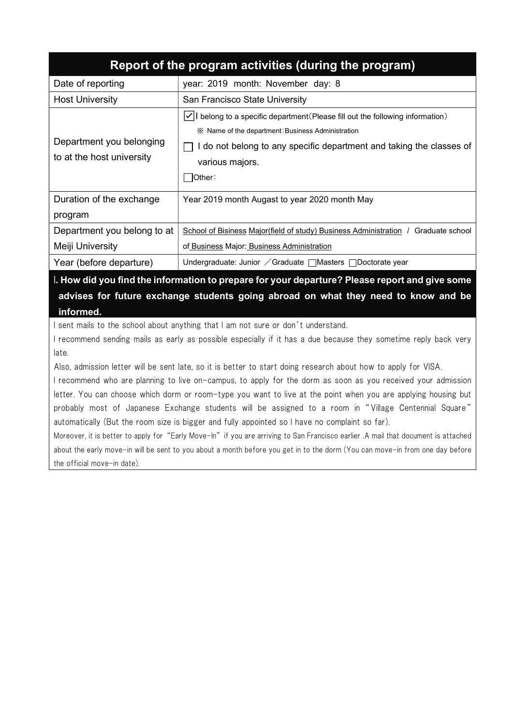|                                                       | Report of the program activities (during the program)                                                                                                                                                                                                     |
|-------------------------------------------------------|-----------------------------------------------------------------------------------------------------------------------------------------------------------------------------------------------------------------------------------------------------------|
| Date of reporting                                     | year: 2019 month: November day: 8                                                                                                                                                                                                                         |
| <b>Host University</b>                                | San Francisco State University                                                                                                                                                                                                                            |
| Department you belonging<br>to at the host university | $ {\checkmark} $ belong to a specific department (Please fill out the following information)<br>im X Name of the department Business Administration<br>I do not belong to any specific department and taking the classes of<br>various majors.<br> Other: |
| Duration of the exchange<br>program                   | Year 2019 month Augast to year 2020 month May                                                                                                                                                                                                             |
| Department you belong to at                           | <u>School of Bisiness Major(field of study) Business Administration / Graduate school</u>                                                                                                                                                                 |
| Meiji University                                      | of Business Major: Business Administration                                                                                                                                                                                                                |
| Year (before departure)                               | Undergraduate: Junior / Graduate $\Box$ Masters $\Box$ Doctorate year                                                                                                                                                                                     |

I. How did you find the information to prepare for your departure? Please report and give some advises for future exchange students going abroad on what they need to know and be informed.

I sent mails to the school about anything that I am not sure or don't understand.

I recommend sending mails as early as possible especially if it has a due because they sometime reply back very late.

Also, admission letter will be sent late, so it is better to start doing research about how to apply for VISA.

I recommend who are planning to live on-campus, to apply for the dorm as soon as you received your admission letter. You can choose which dorm or room-type you want to live at the point when you are applying housing but probably most of Japanese Exchange students will be assigned to a room in "Village Centennial Square" automatically (But the room size is bigger and fully appointed so I have no complaint so far).

Moreover, it is better to apply for "Early Move-In" if you are arriving to San Francisco earlier .A mail that document is attached about the early move-in will be sent to you about a month before you get in to the dorm (You can move-in from one day before the official move-in date).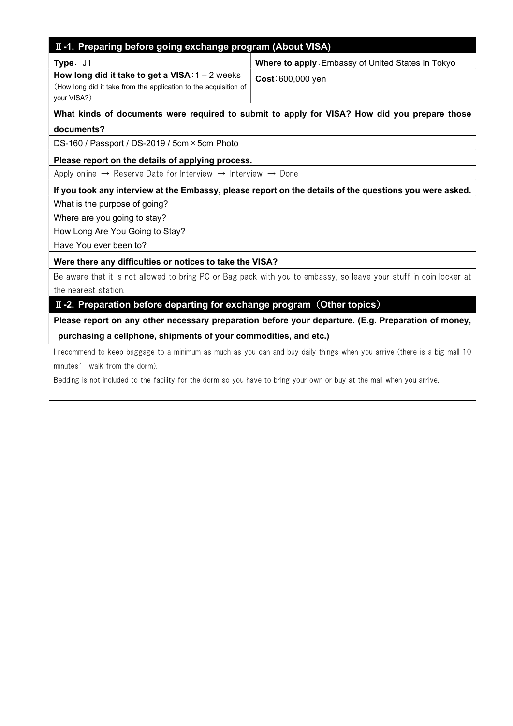# II-1. Preparing before going exchange program (About VISA)

| Type: J1                                                         | Where to apply: Embassy of United States in Tokyo |
|------------------------------------------------------------------|---------------------------------------------------|
| How long did it take to get a VISA: $1 - 2$ weeks                | Cost: 600,000 yen                                 |
| (How long did it take from the application to the acquisition of |                                                   |
| your VISA?)                                                      |                                                   |
|                                                                  |                                                   |

## What kinds of documents were required to submit to apply for VISA? How did you prepare those documents?

DS-160 / Passport / DS-2019 / 5cm × 5cm Photo

## Please report on the details of applying process.

Apply online  $\rightarrow$  Reserve Date for Interview  $\rightarrow$  Interview  $\rightarrow$  Done

## If you took any interview at the Embassy, please report on the details of the questions you were asked.

What is the purpose of going?

Where are you going to stay?

How Long Are You Going to Stay?

Have You ever been to?

 $\overline{\phantom{a}}$ 

## Were there any difficulties or notices to take the VISA?

Be aware that it is not allowed to bring PC or Bag pack with you to embassy, so leave your stuff in coin locker at the nearest station.

## II-2. Preparation before departing for exchange program (Other topics)

Please report on any other necessary preparation before your departure. (E.g. Preparation of money, purchasing a cellphone, shipments of your commodities, and etc.)

I recommend to keep baggage to a minimum as much as you can and buy daily things when you arrive (there is a big mall 10 minutes' walk from the dorm).

Bedding is not included to the facility for the dorm so you have to bring your own or buy at the mall when you arrive.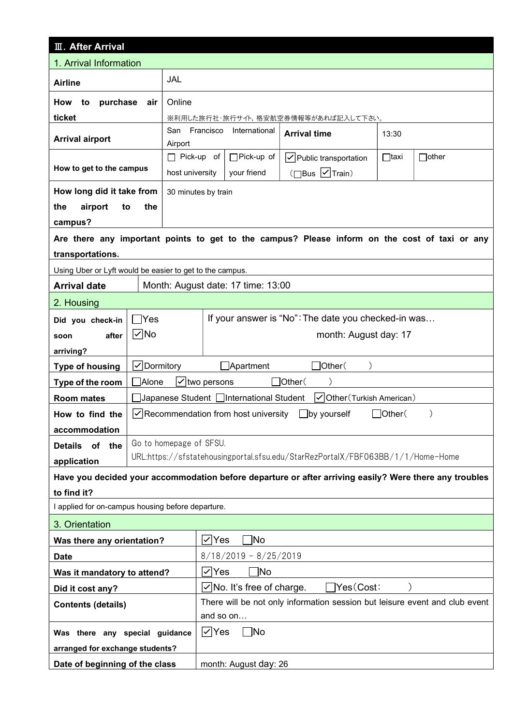| <b>II. After Arrival</b>                                                                                              |                                                                        |                             |                                                                             |                                                                                               |             |              |
|-----------------------------------------------------------------------------------------------------------------------|------------------------------------------------------------------------|-----------------------------|-----------------------------------------------------------------------------|-----------------------------------------------------------------------------------------------|-------------|--------------|
| 1. Arrival Information                                                                                                |                                                                        |                             |                                                                             |                                                                                               |             |              |
| <b>Airline</b>                                                                                                        |                                                                        | JAL                         |                                                                             |                                                                                               |             |              |
| purchase<br>How<br>to                                                                                                 | air                                                                    | Online                      |                                                                             |                                                                                               |             |              |
| ticket                                                                                                                |                                                                        |                             |                                                                             | ※利用した旅行社・旅行サイト,格安航空券情報等があれば記入して下さい。                                                           |             |              |
|                                                                                                                       |                                                                        | San Francisco               | International                                                               | <b>Arrival time</b>                                                                           | 13:30       |              |
| <b>Arrival airport</b>                                                                                                |                                                                        | Airport                     |                                                                             |                                                                                               |             |              |
| How to get to the campus                                                                                              |                                                                        | $\Box$ Pick-up of           | $\Box$ Pick-up of                                                           | $\vert \checkmark \vert$ Public transportation                                                | $\Box$ taxi | $\Box$ other |
|                                                                                                                       |                                                                        | host university             | your friend                                                                 | $(\Box$ Bus $\nabla$ Train)                                                                   |             |              |
| How long did it take from                                                                                             |                                                                        | 30 minutes by train         |                                                                             |                                                                                               |             |              |
| the<br>airport<br>to                                                                                                  | the                                                                    |                             |                                                                             |                                                                                               |             |              |
| campus?                                                                                                               |                                                                        |                             |                                                                             |                                                                                               |             |              |
|                                                                                                                       |                                                                        |                             |                                                                             | Are there any important points to get to the campus? Please inform on the cost of taxi or any |             |              |
| transportations.                                                                                                      |                                                                        |                             |                                                                             |                                                                                               |             |              |
| Using Uber or Lyft would be easier to get to the campus.<br><b>Arrival date</b>                                       |                                                                        |                             | Month: August date: 17 time: 13:00                                          |                                                                                               |             |              |
|                                                                                                                       |                                                                        |                             |                                                                             |                                                                                               |             |              |
| 2. Housing                                                                                                            |                                                                        |                             |                                                                             |                                                                                               |             |              |
| Did you check-in                                                                                                      | Yes                                                                    |                             |                                                                             | If your answer is "No": The date you checked-in was                                           |             |              |
| after<br>soon                                                                                                         | $\nabla$ No                                                            |                             |                                                                             | month: August day: 17                                                                         |             |              |
| arriving?                                                                                                             |                                                                        |                             |                                                                             |                                                                                               |             |              |
| <b>Type of housing</b>                                                                                                | √Dormitory                                                             | JOther(<br>$\Box$ Apartment |                                                                             |                                                                                               |             |              |
| Type of the room                                                                                                      | <b>Alone</b><br>$\sqrt{}$ two persons<br>$\Box$ Other $($              |                             |                                                                             |                                                                                               |             |              |
| <b>Room mates</b>                                                                                                     | Japanese Student □International Student<br> √ Other (Turkish American) |                             |                                                                             |                                                                                               |             |              |
| $\Box$ Other $($<br>$\vert \checkmark\vert$ Recommendation from host university $\Box$ by yourself<br>How to find the |                                                                        |                             |                                                                             |                                                                                               |             |              |
| accommodation                                                                                                         |                                                                        | Go to homepage of SFSU.     |                                                                             |                                                                                               |             |              |
| <b>Details</b><br>of<br>the<br>URL:https://sfstatehousingportal.sfsu.edu/StarRezPortalX/FBF063BB/1/1/Home-Home        |                                                                        |                             |                                                                             |                                                                                               |             |              |
|                                                                                                                       | application                                                            |                             |                                                                             |                                                                                               |             |              |
| Have you decided your accommodation before departure or after arriving easily? Were there any troubles<br>to find it? |                                                                        |                             |                                                                             |                                                                                               |             |              |
| I applied for on-campus housing before departure.                                                                     |                                                                        |                             |                                                                             |                                                                                               |             |              |
| 3. Orientation                                                                                                        |                                                                        |                             |                                                                             |                                                                                               |             |              |
| Was there any orientation?                                                                                            |                                                                        |                             | i∕ Yes<br>`No                                                               |                                                                                               |             |              |
| <b>Date</b>                                                                                                           |                                                                        |                             | $8/18/2019 - 8/25/2019$                                                     |                                                                                               |             |              |
| Was it mandatory to attend?                                                                                           |                                                                        |                             | i∕ Yes<br>]No                                                               |                                                                                               |             |              |
| Did it cost any?                                                                                                      |                                                                        |                             | $\exists$ Yes $(\textsf{Cost})$ :<br>$\sqrt{}$ No. It's free of charge.     |                                                                                               |             |              |
| <b>Contents (details)</b>                                                                                             |                                                                        |                             | There will be not only information session but leisure event and club event |                                                                                               |             |              |
|                                                                                                                       |                                                                        |                             | and so on                                                                   |                                                                                               |             |              |
| Was there any special guidance                                                                                        |                                                                        |                             | $\nabla$ Yes<br>$\neg$ No                                                   |                                                                                               |             |              |
| arranged for exchange students?                                                                                       |                                                                        |                             |                                                                             |                                                                                               |             |              |
| Date of beginning of the class<br>month: August day: 26                                                               |                                                                        |                             |                                                                             |                                                                                               |             |              |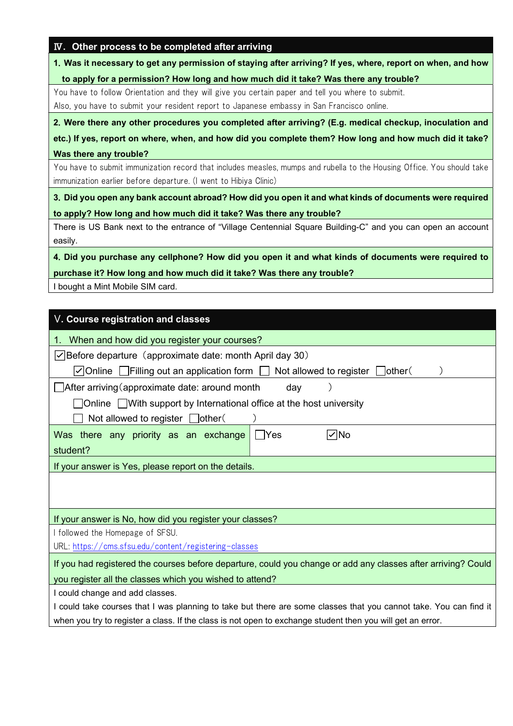|  |  |  |  |  | IV. Other process to be completed after arriving |  |
|--|--|--|--|--|--------------------------------------------------|--|
|--|--|--|--|--|--------------------------------------------------|--|

1.Was it necessary to get any permission of staying after arriving? If yes, where, report on when, and how

to apply for a permission? How long and how much did it take? Was there any trouble?

You have to follow Orientation and they will give you certain paper and tell you where to submit. Also, you have to submit your resident report to Japanese embassy in San Francisco online.

2.Were there any other procedures you completed after arriving? (E.g. medical checkup, inoculation and

etc.) If yes, report on where, when, and how did you complete them? How long and how much did it take? Was there any trouble?

You have to submit immunization record that includes measles, mumps and rubella to the Housing Office. You should take immunization earlier before departure. (I went to Hibiya Clinic)

3.Did you open any bank account abroad? How did you open it and what kinds of documents were required to apply? How long and how much did it take? Was there any trouble?

There is US Bank next to the entrance of "Village Centennial Square Building-C" and you can open an account easily.

4.Did you purchase any cellphone? How did you open it and what kinds of documents were required to purchase it? How long and how much did it take? Was there any trouble?

I bought a Mint Mobile SIM card.

| V. Course registration and classes                                                                                                  |  |  |  |  |  |  |
|-------------------------------------------------------------------------------------------------------------------------------------|--|--|--|--|--|--|
| When and how did you register your courses?<br>1.                                                                                   |  |  |  |  |  |  |
| $\vee$ Before departure (approximate date: month April day 30)                                                                      |  |  |  |  |  |  |
| $\triangledown$ Online $\blacksquare$ Filling out an application form $\blacksquare$ Not allowed to register $\blacksquare$ other ( |  |  |  |  |  |  |
| After arriving (approximate date: around month<br>day                                                                               |  |  |  |  |  |  |
| □ Online □ With support by International office at the host university                                                              |  |  |  |  |  |  |
| Not allowed to register $\Box$ other (                                                                                              |  |  |  |  |  |  |
| l∕∣No<br>∣ Yes<br>Was there any priority as an exchange                                                                             |  |  |  |  |  |  |
| student?                                                                                                                            |  |  |  |  |  |  |
| If your answer is Yes, please report on the details.                                                                                |  |  |  |  |  |  |
|                                                                                                                                     |  |  |  |  |  |  |
| If your answer is No, how did you register your classes?                                                                            |  |  |  |  |  |  |
| I followed the Homepage of SFSU.                                                                                                    |  |  |  |  |  |  |
| URL: https://cms.sfsu.edu/content/registering-classes                                                                               |  |  |  |  |  |  |
| If you had registered the courses before departure, could you change or add any classes after arriving? Could                       |  |  |  |  |  |  |
| you register all the classes which you wished to attend?                                                                            |  |  |  |  |  |  |
| I could change and add classes.                                                                                                     |  |  |  |  |  |  |
| I could take courses that I was planning to take but there are some classes that you cannot take. You can find it                   |  |  |  |  |  |  |
| when you try to register a class. If the class is not open to exchange student then you will get an error.                          |  |  |  |  |  |  |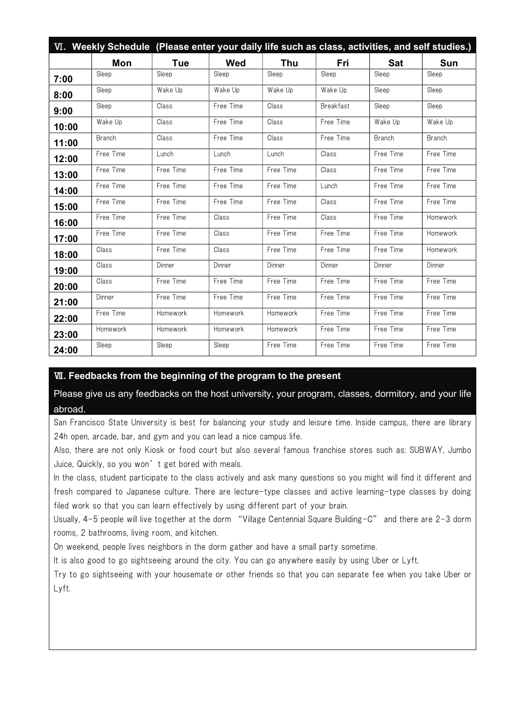|       | VI. Weekly Schedule (Please enter your daily life such as class, activities, and self studies.) |            |           |            |                  |               |               |
|-------|-------------------------------------------------------------------------------------------------|------------|-----------|------------|------------------|---------------|---------------|
|       | Mon                                                                                             | <b>Tue</b> | Wed       | <b>Thu</b> | Fri              | <b>Sat</b>    | Sun           |
| 7:00  | Sleep                                                                                           | Sleep      | Sleep     | Sleep      | Sleep            | Sleep         | Sleep         |
| 8:00  | Sleep                                                                                           | Wake Up    | Wake Up   | Wake Up    | Wake Up          | Sleep         | Sleep         |
| 9:00  | Sleep                                                                                           | Class      | Free Time | Class      | <b>Breakfast</b> | Sleep         | Sleep         |
| 10:00 | Wake Up                                                                                         | Class      | Free Time | Class      | Free Time        | Wake Up       | Wake Up       |
| 11:00 | <b>Branch</b>                                                                                   | Class      | Free Time | Class      | Free Time        | <b>Branch</b> | <b>Branch</b> |
| 12:00 | Free Time                                                                                       | Lunch      | Lunch     | Lunch      | Class            | Free Time     | Free Time     |
| 13:00 | Free Time                                                                                       | Free Time  | Free Time | Free Time  | Class            | Free Time     | Free Time     |
| 14:00 | Free Time                                                                                       | Free Time  | Free Time | Free Time  | Lunch            | Free Time     | Free Time     |
| 15:00 | Free Time                                                                                       | Free Time  | Free Time | Free Time  | Class            | Free Time     | Free Time     |
| 16:00 | Free Time                                                                                       | Free Time  | Class     | Free Time  | Class            | Free Time     | Homework      |
| 17:00 | Free Time                                                                                       | Free Time  | Class     | Free Time  | Free Time        | Free Time     | Homework      |
| 18:00 | Class                                                                                           | Free Time  | Class     | Free Time  | Free Time        | Free Time     | Homework      |
| 19:00 | Class                                                                                           | Dinner     | Dinner    | Dinner     | Dinner           | Dinner        | Dinner        |
| 20:00 | Class                                                                                           | Free Time  | Free Time | Free Time  | Free Time        | Free Time     | Free Time     |
| 21:00 | Dinner                                                                                          | Free Time  | Free Time | Free Time  | Free Time        | Free Time     | Free Time     |
| 22:00 | Free Time                                                                                       | Homework   | Homework  | Homework   | Free Time        | Free Time     | Free Time     |
| 23:00 | Homework                                                                                        | Homework   | Homework  | Homework   | Free Time        | Free Time     | Free Time     |
| 24:00 | Sleep                                                                                           | Sleep      | Sleep     | Free Time  | Free Time        | Free Time     | Free Time     |

## Ⅶ. Feedbacks from the beginning of the program to the present

Please give us any feedbacks on the host university, your program, classes, dormitory, and your life abroad.

San Francisco State University is best for balancing your study and leisure time. Inside campus, there are library 24h open, arcade, bar, and gym and you can lead a nice campus life.

Also, there are not only Kiosk or food court but also several famous franchise stores such as: SUBWAY, Jumbo Juice, Quickly, so you won't get bored with meals.

In the class, student participate to the class actively and ask many questions so you might will find it different and fresh compared to Japanese culture. There are lecture-type classes and active learning-type classes by doing filed work so that you can learn effectively by using different part of your brain.

Usually, 4-5 people will live together at the dorm "Village Centennial Square Building-C" and there are 2-3 dorm rooms, 2 bathrooms, living room, and kitchen.

On weekend, people lives neighbors in the dorm gather and have a small party sometime.

It is also good to go sightseeing around the city. You can go anywhere easily by using Uber or Lyft.

Try to go sightseeing with your housemate or other friends so that you can separate fee when you take Uber or Lyft.